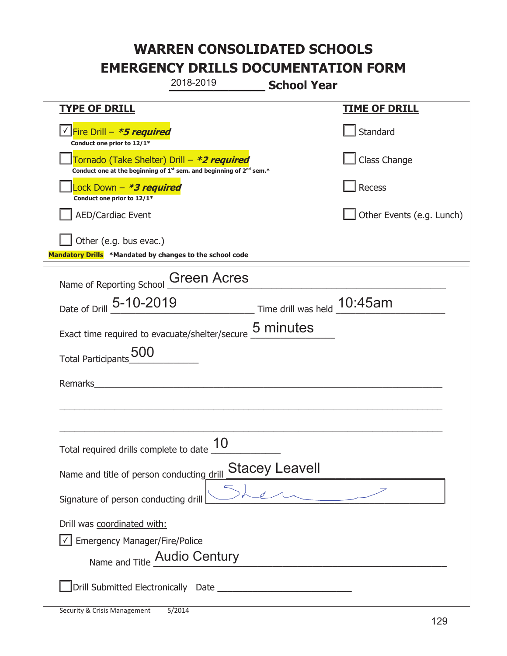|                                                                                            | 2018-2019                                                                                   | <b>School Year</b>    |                           |
|--------------------------------------------------------------------------------------------|---------------------------------------------------------------------------------------------|-----------------------|---------------------------|
| <b>TYPE OF DRILL</b>                                                                       |                                                                                             |                       | <u>TIME OF DRILL</u>      |
| <u>√ <mark>Fire Drill – <i>*<b>5 required</b></i></mark></u><br>Conduct one prior to 12/1* |                                                                                             |                       | Standard                  |
| Tornado (Take Shelter) Drill – *2 required                                                 | Conduct one at the beginning of 1 <sup>st</sup> sem. and beginning of 2 <sup>nd</sup> sem.* |                       | Class Change              |
| Lock Down - *3 required<br>Conduct one prior to 12/1*                                      |                                                                                             |                       | <b>Recess</b>             |
| <b>AED/Cardiac Event</b>                                                                   |                                                                                             |                       | Other Events (e.g. Lunch) |
| Other (e.g. bus evac.)<br>Mandatory Drills *Mandated by changes to the school code         |                                                                                             |                       |                           |
| Name of Reporting School Green Acres                                                       |                                                                                             |                       |                           |
| Date of Drill 5-10-2019                                                                    | Time drill was held 10:45am                                                                 |                       |                           |
| Exact time required to evacuate/shelter/secure 5 minutes                                   |                                                                                             |                       |                           |
| Total Participants_500                                                                     |                                                                                             |                       |                           |
| Remarks                                                                                    | <u> 1980 - Jan Stein, amerikansk politiker (d. 1980)</u>                                    |                       |                           |
|                                                                                            |                                                                                             |                       |                           |
|                                                                                            |                                                                                             |                       |                           |
| Total required drills complete to date $\frac{10}{10}$                                     | 10                                                                                          |                       |                           |
| Name and title of person conducting drill                                                  |                                                                                             | <b>Stacey Leavell</b> |                           |
| Signature of person conducting drill                                                       |                                                                                             |                       |                           |
| Drill was coordinated with:                                                                |                                                                                             |                       |                           |
| <b>Emergency Manager/Fire/Police</b><br>Name and Title Audio Century                       |                                                                                             |                       |                           |
|                                                                                            |                                                                                             |                       |                           |
|                                                                                            |                                                                                             |                       |                           |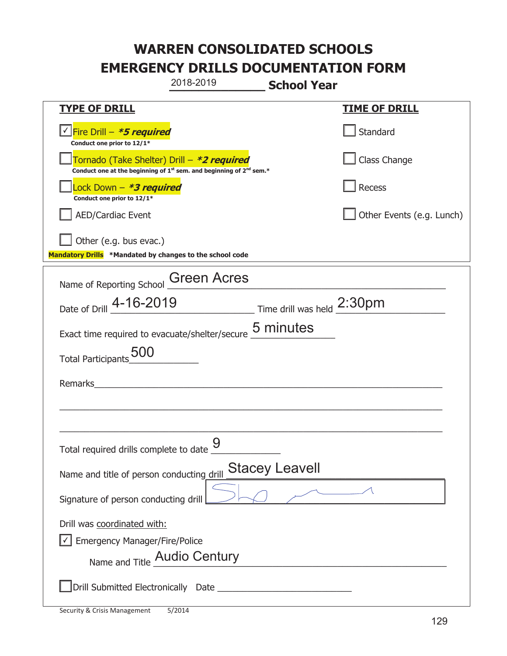|                                                                                    | 2018-2019                                                                                   | <b>School Year</b>    |                           |
|------------------------------------------------------------------------------------|---------------------------------------------------------------------------------------------|-----------------------|---------------------------|
| <b>TYPE OF DRILL</b>                                                               |                                                                                             |                       | <b>TIME OF DRILL</b>      |
| √ Fire Drill – <b>*5 required</b><br>Conduct one prior to 12/1*                    |                                                                                             |                       | Standard                  |
| Tornado (Take Shelter) Drill – *2 required                                         | Conduct one at the beginning of 1 <sup>st</sup> sem. and beginning of 2 <sup>nd</sup> sem.* |                       | Class Change              |
| Lock Down - <b>*3 required</b><br>Conduct one prior to 12/1*                       |                                                                                             |                       | <b>Recess</b>             |
| <b>AED/Cardiac Event</b>                                                           |                                                                                             |                       | Other Events (e.g. Lunch) |
| Other (e.g. bus evac.)<br>Mandatory Drills *Mandated by changes to the school code |                                                                                             |                       |                           |
| Name of Reporting School Creen Acres                                               |                                                                                             |                       |                           |
| Date of Drill 4-16-2019                                                            | Time drill was held 2:30pm                                                                  |                       |                           |
| Exact time required to evacuate/shelter/secure 5 minutes                           |                                                                                             |                       |                           |
| Total Participants                                                                 |                                                                                             |                       |                           |
| Remarks                                                                            | <u> 1980 - John Stein, amerikansk politiker (</u>                                           |                       |                           |
|                                                                                    |                                                                                             |                       |                           |
|                                                                                    |                                                                                             |                       |                           |
| Total required drills complete to date $\underline{\mathsf{9}}$                    |                                                                                             |                       |                           |
| Name and title of person conducting drill                                          |                                                                                             | <b>Stacey Leavell</b> |                           |
| Signature of person conducting drill                                               |                                                                                             | $\sim$ $\sim$ $\sim$  |                           |
| Drill was coordinated with:                                                        |                                                                                             |                       |                           |
| <b>Emergency Manager/Fire/Police</b>                                               |                                                                                             |                       |                           |
| Name and Title Audio Century                                                       |                                                                                             |                       |                           |
|                                                                                    |                                                                                             |                       |                           |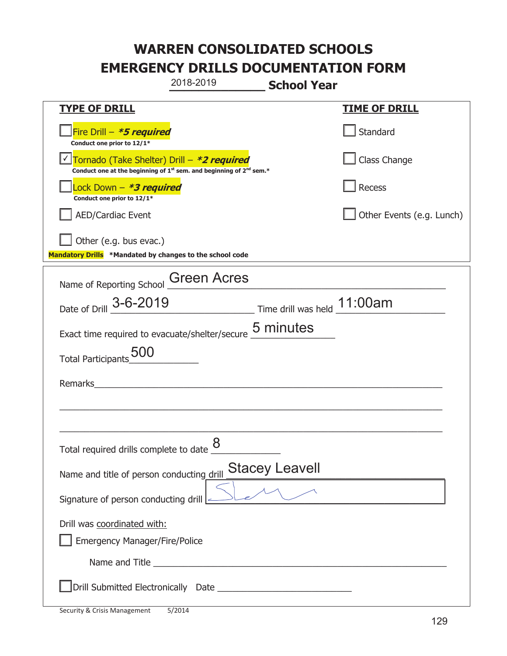|                                                                                    | 2018-2019                                                                                   | <b>School Year</b>          |                           |  |
|------------------------------------------------------------------------------------|---------------------------------------------------------------------------------------------|-----------------------------|---------------------------|--|
| <b>TYPE OF DRILL</b>                                                               |                                                                                             |                             | <u>TIME OF DRILL</u>      |  |
| Fire Drill - *5 required<br>Conduct one prior to 12/1*                             |                                                                                             |                             | Standard                  |  |
| Tornado (Take Shelter) Drill – *2 required                                         | Conduct one at the beginning of 1 <sup>st</sup> sem. and beginning of 2 <sup>nd</sup> sem.* |                             | Class Change              |  |
| Lock Down – <b>*<i>3 required</i></b><br>Conduct one prior to 12/1*                |                                                                                             |                             | Recess                    |  |
| <b>AED/Cardiac Event</b>                                                           |                                                                                             |                             | Other Events (e.g. Lunch) |  |
| Other (e.g. bus evac.)<br>Mandatory Drills *Mandated by changes to the school code |                                                                                             |                             |                           |  |
| Name of Reporting School Creen Acres                                               |                                                                                             |                             |                           |  |
| Date of Drill 3-6-2019                                                             |                                                                                             | Time drill was held 11:00am |                           |  |
| Exact time required to evacuate/shelter/secure 5 minutes                           |                                                                                             |                             |                           |  |
| <b>Total Participants</b>                                                          |                                                                                             |                             |                           |  |
| Remarks                                                                            |                                                                                             |                             |                           |  |
|                                                                                    |                                                                                             |                             |                           |  |
|                                                                                    |                                                                                             |                             |                           |  |
| Total required drills complete to date $\underline{\mathcal{8}}$                   |                                                                                             |                             |                           |  |
| Name and title of person conducting drill                                          |                                                                                             | <b>Stacey Leavell</b>       |                           |  |
| Signature of person conducting drill $\leq$                                        |                                                                                             |                             |                           |  |
| Drill was coordinated with:<br><b>Emergency Manager/Fire/Police</b>                |                                                                                             |                             |                           |  |
|                                                                                    |                                                                                             |                             |                           |  |
|                                                                                    |                                                                                             |                             |                           |  |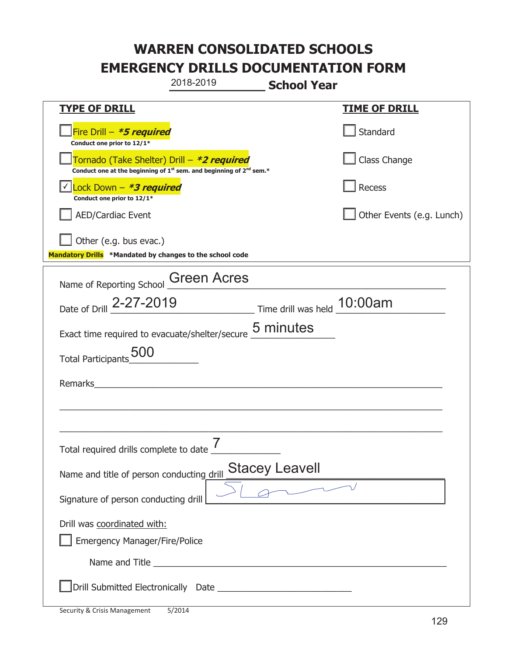|                                                                                    | 2018-2019                                                                                   | <b>School Year</b>    |                           |  |
|------------------------------------------------------------------------------------|---------------------------------------------------------------------------------------------|-----------------------|---------------------------|--|
| <b>TYPE OF DRILL</b>                                                               |                                                                                             |                       | <u>TIME OF DRILL</u>      |  |
| Fire Drill - *5 required<br>Conduct one prior to 12/1*                             |                                                                                             |                       | Standard                  |  |
| Tornado (Take Shelter) Drill – *2 required                                         | Conduct one at the beginning of 1 <sup>st</sup> sem. and beginning of 2 <sup>nd</sup> sem.* |                       | Class Change              |  |
| Lock Down $-$ *3 required<br>Conduct one prior to 12/1*                            |                                                                                             |                       | Recess                    |  |
| <b>AED/Cardiac Event</b>                                                           |                                                                                             |                       | Other Events (e.g. Lunch) |  |
| Other (e.g. bus evac.)<br>Mandatory Drills *Mandated by changes to the school code |                                                                                             |                       |                           |  |
| Name of Reporting School Green Acres                                               |                                                                                             |                       |                           |  |
| Date of Drill 2-27-2019 Time drill was held 10:00am                                |                                                                                             |                       |                           |  |
| Exact time required to evacuate/shelter/secure 5 minutes                           |                                                                                             |                       |                           |  |
| Total Participants                                                                 |                                                                                             |                       |                           |  |
|                                                                                    |                                                                                             |                       |                           |  |
|                                                                                    |                                                                                             |                       |                           |  |
|                                                                                    |                                                                                             |                       |                           |  |
| Total required drills complete to date $\frac{I}{I}$                               |                                                                                             |                       |                           |  |
| Name and title of person conducting drill                                          |                                                                                             | <b>Stacey Leavell</b> |                           |  |
| Signature of person conducting drill                                               |                                                                                             |                       |                           |  |
| Drill was coordinated with:<br><b>Emergency Manager/Fire/Police</b>                |                                                                                             |                       |                           |  |
|                                                                                    |                                                                                             |                       |                           |  |
|                                                                                    |                                                                                             |                       |                           |  |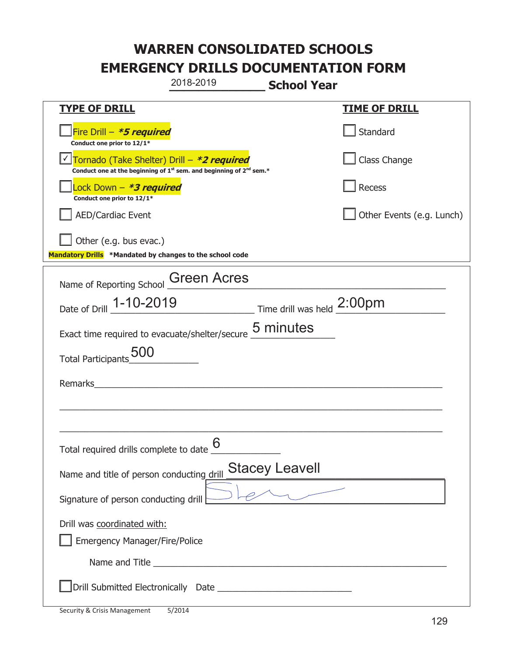|                                                                                    | 2018-2019                                                                                   | <b>School Year</b>                                                          |                           |
|------------------------------------------------------------------------------------|---------------------------------------------------------------------------------------------|-----------------------------------------------------------------------------|---------------------------|
| <b>TYPE OF DRILL</b>                                                               |                                                                                             |                                                                             | <u>TIME OF DRILL</u>      |
| Fire Drill - *5 required<br>Conduct one prior to 12/1*                             |                                                                                             |                                                                             | Standard                  |
| Tornado (Take Shelter) Drill – *2 required                                         | Conduct one at the beginning of 1 <sup>st</sup> sem. and beginning of 2 <sup>nd</sup> sem.* |                                                                             | Class Change              |
| Lock Down – <b>*<i>3 required</i></b><br>Conduct one prior to 12/1*                |                                                                                             |                                                                             | Recess                    |
| <b>AED/Cardiac Event</b>                                                           |                                                                                             |                                                                             | Other Events (e.g. Lunch) |
| Other (e.g. bus evac.)<br>Mandatory Drills *Mandated by changes to the school code |                                                                                             |                                                                             |                           |
| Name of Reporting School Creen Acres                                               |                                                                                             |                                                                             |                           |
| Date of Drill 1-10-2019                                                            |                                                                                             | $\overline{\phantom{a}}$ Time drill was held $\overline{\phantom{a}2:00pm}$ |                           |
| Exact time required to evacuate/shelter/secure 5 minutes                           |                                                                                             |                                                                             |                           |
| Total Participants                                                                 |                                                                                             |                                                                             |                           |
| Remarks                                                                            |                                                                                             |                                                                             |                           |
|                                                                                    |                                                                                             |                                                                             |                           |
|                                                                                    |                                                                                             |                                                                             |                           |
| Total required drills complete to date $\underline{\mathsf{6}}$                    |                                                                                             |                                                                             |                           |
| Name and title of person conducting drill                                          |                                                                                             | <b>Stacey Leavell</b>                                                       |                           |
| Signature of person conducting drill                                               |                                                                                             |                                                                             |                           |
| Drill was coordinated with:<br><b>Emergency Manager/Fire/Police</b>                |                                                                                             |                                                                             |                           |
|                                                                                    |                                                                                             |                                                                             |                           |
|                                                                                    |                                                                                             |                                                                             |                           |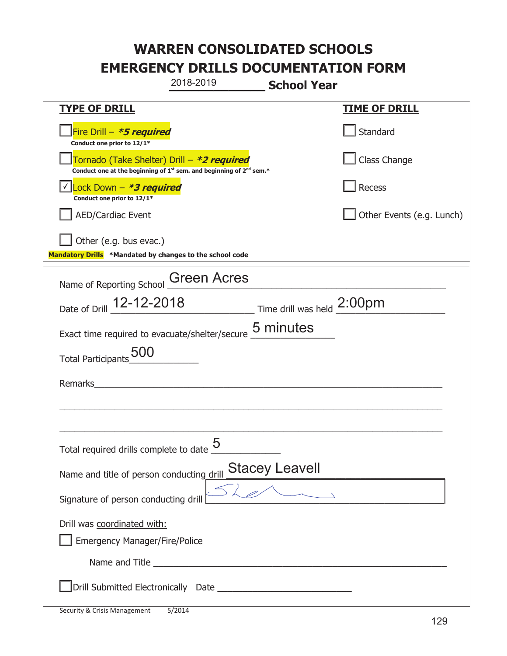|                                                                                    | 2018-2019                                                                                   | <b>School Year</b> |                           |
|------------------------------------------------------------------------------------|---------------------------------------------------------------------------------------------|--------------------|---------------------------|
| <b>TYPE OF DRILL</b>                                                               |                                                                                             |                    | <b>TIME OF DRILL</b>      |
| Fire Drill - *5 required<br>Conduct one prior to 12/1*                             |                                                                                             |                    | Standard                  |
| Tornado (Take Shelter) Drill – *2 required                                         | Conduct one at the beginning of 1 <sup>st</sup> sem. and beginning of 2 <sup>nd</sup> sem.* |                    | Class Change              |
| Lock Down - *3 required<br>Conduct one prior to 12/1*                              |                                                                                             |                    | Recess                    |
| <b>AED/Cardiac Event</b>                                                           |                                                                                             |                    | Other Events (e.g. Lunch) |
| Other (e.g. bus evac.)<br>Mandatory Drills *Mandated by changes to the school code |                                                                                             |                    |                           |
| Name of Reporting School                                                           | <b>Green Acres</b>                                                                          |                    |                           |
| Date of Drill 12-12-2018                                                           | $\frac{1}{200}$ Time drill was held $\frac{2:00 \text{pm}}{2}$                              |                    |                           |
| Exact time required to evacuate/shelter/secure 5 minutes                           |                                                                                             |                    |                           |
| <b>Total Participants</b>                                                          |                                                                                             |                    |                           |
| Remarks                                                                            |                                                                                             |                    |                           |
|                                                                                    |                                                                                             |                    |                           |
|                                                                                    |                                                                                             |                    |                           |
| Total required drills complete to date $\underline{\mathsf{5}}$                    |                                                                                             |                    |                           |
| Name and title of person conducting drill                                          |                                                                                             | Stacey Leavell     |                           |
| Signature of person conducting drill                                               |                                                                                             |                    |                           |
| Drill was coordinated with:<br><b>Emergency Manager/Fire/Police</b>                |                                                                                             |                    |                           |
|                                                                                    |                                                                                             |                    |                           |
|                                                                                    |                                                                                             |                    |                           |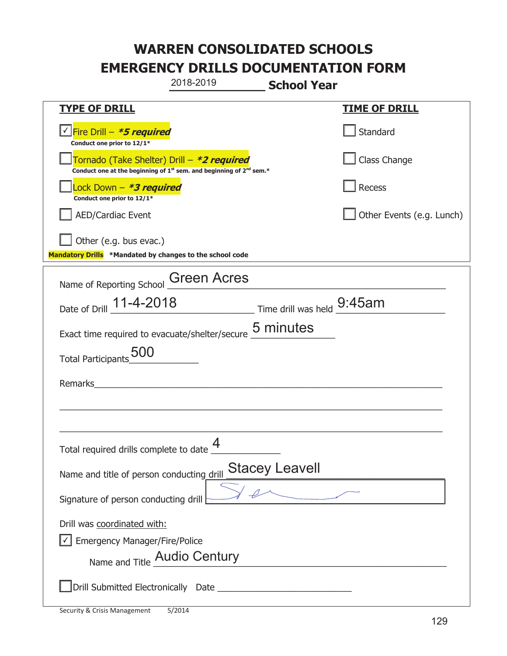|                                                                                            | 2018-2019                                                                                                             | <b>School Year</b>    |                           |
|--------------------------------------------------------------------------------------------|-----------------------------------------------------------------------------------------------------------------------|-----------------------|---------------------------|
| <b>TYPE OF DRILL</b>                                                                       |                                                                                                                       |                       | <b>TIME OF DRILL</b>      |
| <u>√ <mark>Fire Drill – <i>*<b>5 required</b></i></mark></u><br>Conduct one prior to 12/1* |                                                                                                                       |                       | Standard                  |
| Tornado (Take Shelter) Drill – *2 required                                                 | Conduct one at the beginning of $1^{st}$ sem. and beginning of $2^{nd}$ sem.*                                         |                       | Class Change              |
| Lock Down - *3 required<br>Conduct one prior to 12/1*                                      |                                                                                                                       |                       | <b>Recess</b>             |
| <b>AED/Cardiac Event</b>                                                                   |                                                                                                                       |                       | Other Events (e.g. Lunch) |
| Other (e.g. bus evac.)<br>Mandatory Drills *Mandated by changes to the school code         |                                                                                                                       |                       |                           |
| Name of Reporting School Green Acres                                                       |                                                                                                                       |                       |                           |
| Date of Drill 11-4-2018 Time drill was held 9:45am                                         |                                                                                                                       |                       |                           |
| Exact time required to evacuate/shelter/secure 5 minutes                                   |                                                                                                                       |                       |                           |
| Total Participants_500                                                                     |                                                                                                                       |                       |                           |
| Remarks                                                                                    | <u> 1980 - Jan Samuel Barbara, martin a shekara 1980 - An tsara 1980 - An tsara 1980 - An tsara 1980 - An tsara 1</u> |                       |                           |
|                                                                                            |                                                                                                                       |                       |                           |
|                                                                                            |                                                                                                                       |                       |                           |
| Total required drills complete to date $\underline{\mathcal{4}}$                           |                                                                                                                       |                       |                           |
| Name and title of person conducting drill                                                  |                                                                                                                       | <b>Stacey Leavell</b> |                           |
| Signature of person conducting drill                                                       |                                                                                                                       |                       |                           |
| Drill was coordinated with:                                                                |                                                                                                                       |                       |                           |
| <b>Emergency Manager/Fire/Police</b>                                                       |                                                                                                                       |                       |                           |
| Name and Title Audio Century                                                               |                                                                                                                       |                       |                           |
|                                                                                            |                                                                                                                       |                       |                           |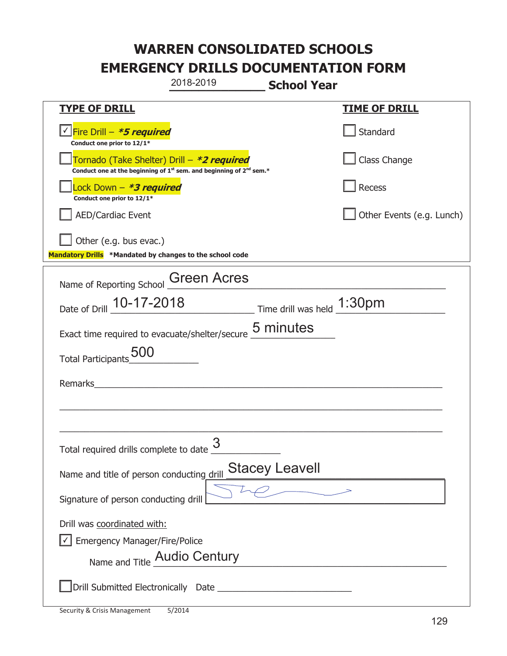|                                                                                    | 2018-2019                                                                                   | <b>School Year</b>    |                           |
|------------------------------------------------------------------------------------|---------------------------------------------------------------------------------------------|-----------------------|---------------------------|
| <b>TYPE OF DRILL</b>                                                               |                                                                                             |                       | <b>TIME OF DRILL</b>      |
| √ Fire Drill – <b>*5 required</b><br>Conduct one prior to 12/1*                    |                                                                                             |                       | Standard                  |
| Tornado (Take Shelter) Drill – *2 required                                         | Conduct one at the beginning of 1 <sup>st</sup> sem. and beginning of 2 <sup>nd</sup> sem.* |                       | Class Change              |
| Lock Down - <b>*3 required</b><br>Conduct one prior to 12/1*                       |                                                                                             |                       | Recess                    |
| <b>AED/Cardiac Event</b>                                                           |                                                                                             |                       | Other Events (e.g. Lunch) |
| Other (e.g. bus evac.)<br>Mandatory Drills *Mandated by changes to the school code |                                                                                             |                       |                           |
| Name of Reporting School Green Acres                                               |                                                                                             |                       |                           |
| Date of Drill 10-17-2018                                                           | $\frac{1:30 \text{pm}}{2}$ Time drill was held $\frac{1:30 \text{pm}}{2}$                   |                       |                           |
| Exact time required to evacuate/shelter/secure 5 minutes                           |                                                                                             |                       |                           |
| <b>Total Participants</b>                                                          |                                                                                             |                       |                           |
| Remarks                                                                            | <u> 1980 - John Stein, Amerikaansk politiker (</u>                                          |                       |                           |
|                                                                                    |                                                                                             |                       |                           |
|                                                                                    |                                                                                             |                       |                           |
| Total required drills complete to date $\overline{\mathbb{3}}$                     |                                                                                             |                       |                           |
| Name and title of person conducting drill                                          |                                                                                             | <b>Stacey Leavell</b> |                           |
| Signature of person conducting drill                                               |                                                                                             |                       |                           |
| Drill was coordinated with:                                                        |                                                                                             |                       |                           |
| <b>Emergency Manager/Fire/Police</b>                                               |                                                                                             |                       |                           |
| Name and Title Audio Century                                                       |                                                                                             |                       |                           |
|                                                                                    |                                                                                             |                       |                           |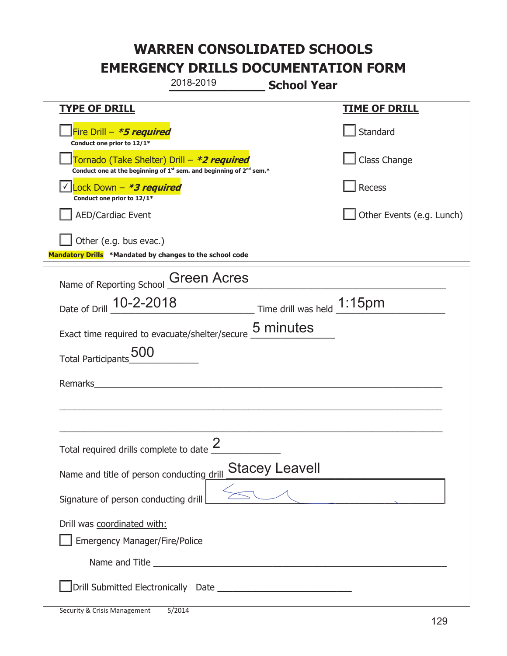|                                                                                    | 2018-2019                                                                                   | <b>School Year</b>                                          |                           |  |
|------------------------------------------------------------------------------------|---------------------------------------------------------------------------------------------|-------------------------------------------------------------|---------------------------|--|
| <b>TYPE OF DRILL</b>                                                               |                                                                                             |                                                             | <u>TIME OF DRILL</u>      |  |
| Fire Drill - *5 required<br>Conduct one prior to 12/1*                             |                                                                                             |                                                             | Standard                  |  |
| Tornado (Take Shelter) Drill – *2 required                                         | Conduct one at the beginning of 1 <sup>st</sup> sem. and beginning of 2 <sup>nd</sup> sem.* |                                                             | Class Change              |  |
| Lock Down - *3 required<br>Conduct one prior to 12/1*                              |                                                                                             |                                                             | Recess                    |  |
| <b>AED/Cardiac Event</b>                                                           |                                                                                             |                                                             | Other Events (e.g. Lunch) |  |
| Other (e.g. bus evac.)<br>Mandatory Drills *Mandated by changes to the school code |                                                                                             |                                                             |                           |  |
| Name of Reporting School Creen Acres                                               |                                                                                             |                                                             |                           |  |
| Date of Drill 10-2-2018                                                            |                                                                                             | $\frac{1.15}{1.15}$ Time drill was held $\frac{1.15}{1.15}$ |                           |  |
| Exact time required to evacuate/shelter/secure 5 minutes                           |                                                                                             |                                                             |                           |  |
| <b>Total Participants</b>                                                          |                                                                                             |                                                             |                           |  |
| Remarks                                                                            |                                                                                             |                                                             |                           |  |
|                                                                                    |                                                                                             |                                                             |                           |  |
|                                                                                    |                                                                                             |                                                             |                           |  |
| Total required drills complete to date $\leq$                                      |                                                                                             |                                                             |                           |  |
| Name and title of person conducting drill                                          |                                                                                             | <b>Stacey Leavell</b>                                       |                           |  |
| Signature of person conducting drill                                               |                                                                                             |                                                             |                           |  |
| Drill was coordinated with:<br><b>Emergency Manager/Fire/Police</b>                |                                                                                             |                                                             |                           |  |
|                                                                                    |                                                                                             |                                                             |                           |  |
|                                                                                    |                                                                                             |                                                             |                           |  |